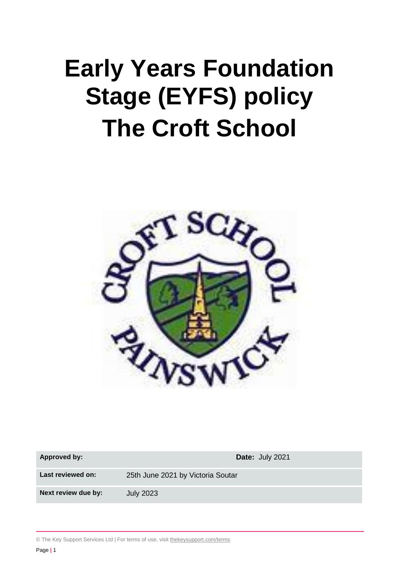# **Early Years Foundation Stage (EYFS) policy The Croft School**



| <b>Approved by:</b> | Date: July 2021                   |  |
|---------------------|-----------------------------------|--|
| Last reviewed on:   | 25th June 2021 by Victoria Soutar |  |
| Next review due by: | <b>July 2023</b>                  |  |

© The Key Support Services Ltd | For terms of use, visit [thekeysupport.com/terms](https://thekeysupport.com/terms-of-use)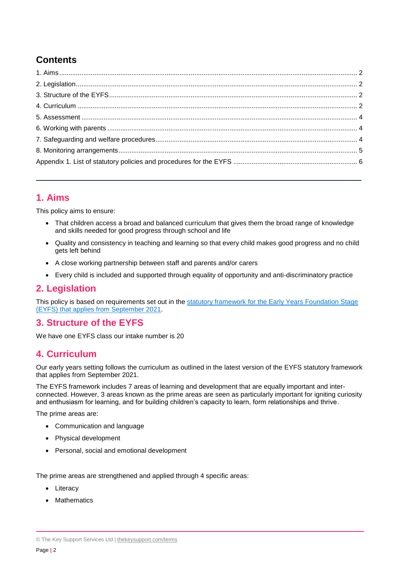## **Contents**

## **1. Aims**

This policy aims to ensure:

- That children access a broad and balanced curriculum that gives them the broad range of knowledge and skills needed for good progress through school and life
- Quality and consistency in teaching and learning so that every child makes good progress and no child gets left behind
- A close working partnership between staff and parents and/or carers
- Every child is included and supported through equality of opportunity and anti-discriminatory practice

## **2. Legislation**

This policy is based on requirements set out in the [statutory framework for the Early Years Foundation Stage](https://www.gov.uk/government/publications/early-years-foundation-stage-framework--2/)  (EYFS) that [applies from September 2021.](https://www.gov.uk/government/publications/early-years-foundation-stage-framework--2/)

## **3. Structure of the EYFS**

We have one EYFS class our intake number is 20

## **4. Curriculum**

Our early years setting follows the curriculum as outlined in the latest version of the EYFS statutory framework that applies from September 2021.

The EYFS framework includes 7 areas of learning and development that are equally important and interconnected. However, 3 areas known as the prime areas are seen as particularly important for igniting curiosity and enthusiasm for learning, and for building children's capacity to learn, form relationships and thrive.

The prime areas are:

- Communication and language
- Physical development
- Personal, social and emotional development

The prime areas are strengthened and applied through 4 specific areas:

- Literacy
- **Mathematics**

<sup>©</sup> The Key Support Services Ltd | [thekeysupport.com/terms](https://thekeysupport.com/terms-of-use)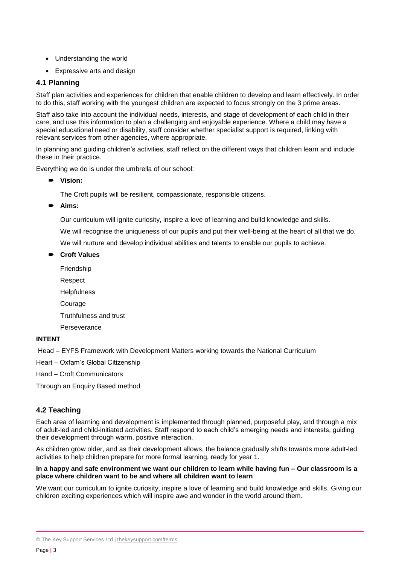- Understanding the world
- Expressive arts and design

#### **4.1 Planning**

Staff plan activities and experiences for children that enable children to develop and learn effectively. In order to do this, staff working with the youngest children are expected to focus strongly on the 3 prime areas.

Staff also take into account the individual needs, interests, and stage of development of each child in their care, and use this information to plan a challenging and enjoyable experience. Where a child may have a special educational need or disability, staff consider whether specialist support is required, linking with relevant services from other agencies, where appropriate.

In planning and guiding children's activities, staff reflect on the different ways that children learn and include these in their practice.

Everything we do is under the umbrella of our school:

**Vision:** 

The Croft pupils will be resilient, compassionate, responsible citizens.

**Aims:** 

Our curriculum will ignite curiosity, inspire a love of learning and build knowledge and skills.

We will recognise the uniqueness of our pupils and put their well-being at the heart of all that we do.

We will nurture and develop individual abilities and talents to enable our pupils to achieve.

- **Croft Values**
	- Friendship
	- Respect
	- **Helpfulness**
	- Courage
	- Truthfulness and trust
	- Perseverance

#### **INTENT**

Head – EYFS Framework with Development Matters working towards the National Curriculum

- Heart Oxfam's Global Citizenship
- Hand Croft Communicators

Through an Enquiry Based method

#### **4.2 Teaching**

Each area of learning and development is implemented through planned, purposeful play, and through a mix of adult-led and child-initiated activities. Staff respond to each child's emerging needs and interests, guiding their development through warm, positive interaction.

As children grow older, and as their development allows, the balance gradually shifts towards more adult-led activities to help children prepare for more formal learning, ready for year 1.

#### **In a happy and safe environment we want our children to learn while having fun – Our classroom is a place where children want to be and where all children want to learn**

We want our curriculum to ignite curiosity, inspire a love of learning and build knowledge and skills. Giving our children exciting experiences which will inspire awe and wonder in the world around them.

<sup>©</sup> The Key Support Services Ltd | [thekeysupport.com/terms](https://thekeysupport.com/terms-of-use)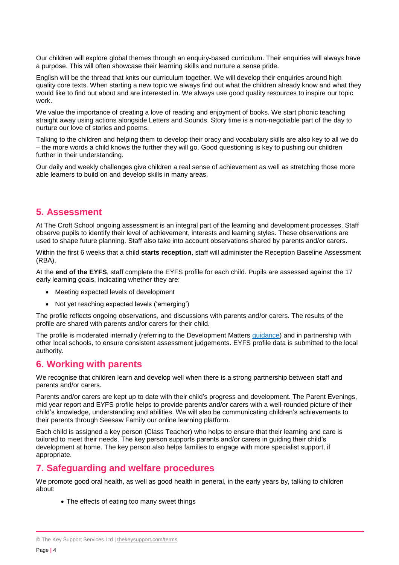Our children will explore global themes through an enquiry-based curriculum. Their enquiries will always have a purpose. This will often showcase their learning skills and nurture a sense pride.

English will be the thread that knits our curriculum together. We will develop their enquiries around high quality core texts. When starting a new topic we always find out what the children already know and what they would like to find out about and are interested in. We always use good quality resources to inspire our topic work.

We value the importance of creating a love of reading and enjoyment of books. We start phonic teaching straight away using actions alongside Letters and Sounds. Story time is a non-negotiable part of the day to nurture our love of stories and poems.

Talking to the children and helping them to develop their oracy and vocabulary skills are also key to all we do – the more words a child knows the further they will go. Good questioning is key to pushing our children further in their understanding.

Our daily and weekly challenges give children a real sense of achievement as well as stretching those more able learners to build on and develop skills in many areas.

## **5. Assessment**

At The Croft School ongoing assessment is an integral part of the learning and development processes. Staff observe pupils to identify their level of achievement, interests and learning styles. These observations are used to shape future planning. Staff also take into account observations shared by parents and/or carers.

Within the first 6 weeks that a child **starts reception**, staff will administer the Reception Baseline Assessment (RBA).

At the **end of the EYFS**, staff complete the EYFS profile for each child. Pupils are assessed against the 17 early learning goals, indicating whether they are:

- Meeting expected levels of development
- Not yet reaching expected levels ('emerging')

The profile reflects ongoing observations, and discussions with parents and/or carers. The results of the profile are shared with parents and/or carers for their child.

The profile is moderated internally (referring to the Development Matters [guidance\)](https://www.gov.uk/government/publications/development-matters--2) and in partnership with other local schools, to ensure consistent assessment judgements. EYFS profile data is submitted to the local authority.

## **6. Working with parents**

We recognise that children learn and develop well when there is a strong partnership between staff and parents and/or carers.

Parents and/or carers are kept up to date with their child's progress and development. The Parent Evenings, mid year report and EYFS profile helps to provide parents and/or carers with a well-rounded picture of their child's knowledge, understanding and abilities. We will also be communicating children's achievements to their parents through Seesaw Family our online learning platform.

Each child is assigned a key person (Class Teacher) who helps to ensure that their learning and care is tailored to meet their needs. The key person supports parents and/or carers in guiding their child's development at home. The key person also helps families to engage with more specialist support, if appropriate.

## **7. Safeguarding and welfare procedures**

We promote good oral health, as well as good health in general, in the early years by, talking to children about:

• The effects of eating too many sweet things

<sup>©</sup> The Key Support Services Ltd | [thekeysupport.com/terms](https://thekeysupport.com/terms-of-use)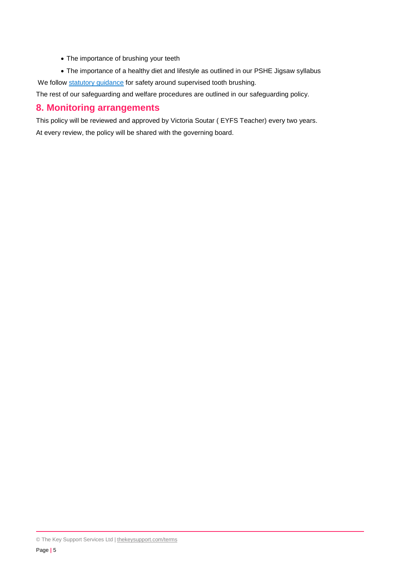- The importance of brushing your teeth
- The importance of a healthy diet and lifestyle as outlined in our PSHE Jigsaw syllabus

We follow [statutory guidance](https://www.gov.uk/government/publications/covid-19-supervised-toothbrushing-programmes) for safety around supervised tooth brushing.

The rest of our safeguarding and welfare procedures are outlined in our safeguarding policy.

## **8. Monitoring arrangements**

This policy will be reviewed and approved by Victoria Soutar ( EYFS Teacher) every two years. At every review, the policy will be shared with the governing board.

<sup>©</sup> The Key Support Services Ltd | [thekeysupport.com/terms](https://thekeysupport.com/terms-of-use)